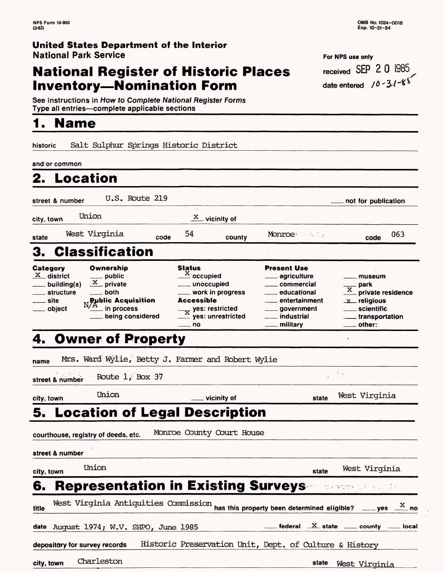## **National Register of Historic Places Inventory-Nomination Form**

See instructions in How to Complete National Register Forms Type all entries-complete applicable sections

## **1. Name**

historic Salt Sulphur Springs Historic District \_\_\_\_\_\_\_\_\_

and or common

| anɑ <b>∌or commo</b> n                                                 |                                                                                                                                                           |                                                                                                                                          |                      |                                                                                                                                                     |                                                                                                                                            |
|------------------------------------------------------------------------|-----------------------------------------------------------------------------------------------------------------------------------------------------------|------------------------------------------------------------------------------------------------------------------------------------------|----------------------|-----------------------------------------------------------------------------------------------------------------------------------------------------|--------------------------------------------------------------------------------------------------------------------------------------------|
| 2.                                                                     | <b>Location</b>                                                                                                                                           |                                                                                                                                          |                      |                                                                                                                                                     |                                                                                                                                            |
| street & number                                                        | $U.S.$ Route 219                                                                                                                                          |                                                                                                                                          |                      |                                                                                                                                                     | not for publication                                                                                                                        |
| city, town                                                             | Union                                                                                                                                                     | φń<br>X                                                                                                                                  | _vicinity of         |                                                                                                                                                     |                                                                                                                                            |
| state                                                                  | West Virginia                                                                                                                                             | 54<br>code                                                                                                                               | county               | Monroe                                                                                                                                              | 063<br>code                                                                                                                                |
| 3.                                                                     | <b>Classification</b>                                                                                                                                     |                                                                                                                                          |                      |                                                                                                                                                     |                                                                                                                                            |
| Category<br>$X$ district<br>building(s)<br>structure<br>site<br>object | Ownership<br>___ public<br>$\frac{\text{X}}{\text{P}}$ private<br>both<br><b>Public Acquisition</b><br>N/A<br><sub>–</sub> in process<br>being considered | <b>Status</b><br>$\stackrel{\textbf{X}}{\textbf{\_}}$ occupied<br>____ unoccupied<br>Accessible<br>$\frac{1}{X}$ yes: restricted<br>— no | ___ work in progress | <b>Present Use</b><br><sub>——</sub> agriculture<br>____ commercial<br>educational<br>entertainment<br>___ government<br>$\_$ industrial<br>military | museum<br>- park<br>private residence<br>$\mathbf{x}$ religious<br>scientific<br>transportation_<br>other:                                 |
|                                                                        | 4. Owner of Property                                                                                                                                      |                                                                                                                                          |                      |                                                                                                                                                     |                                                                                                                                            |
| name                                                                   | Mrs. Ward Wylie, Betty J. Farmer and Robert Wylie                                                                                                         |                                                                                                                                          |                      |                                                                                                                                                     |                                                                                                                                            |
| street & number                                                        | Route 1, Box 37                                                                                                                                           |                                                                                                                                          |                      |                                                                                                                                                     | ja Tele                                                                                                                                    |
| city, town                                                             | Union                                                                                                                                                     |                                                                                                                                          | vicinity of          | state                                                                                                                                               | West Virginia                                                                                                                              |
|                                                                        | 5. Location of Legal Description                                                                                                                          |                                                                                                                                          |                      |                                                                                                                                                     |                                                                                                                                            |
| street & number                                                        | courthouse, registry of deeds, etc.                                                                                                                       | Monroe County Court House                                                                                                                |                      |                                                                                                                                                     |                                                                                                                                            |
| city, town                                                             | Union                                                                                                                                                     |                                                                                                                                          |                      | state                                                                                                                                               | West Virginia                                                                                                                              |
| 6.                                                                     | <b>Representation in Existing Surveys-</b>                                                                                                                |                                                                                                                                          |                      |                                                                                                                                                     | $\mathfrak{m} \wr \mathfrak{m} \mathfrak{m} \mathfrak{m} \longrightarrow \mathfrak{m} \lor \mathfrak{m} \lor \mathfrak{m} \longrightarrow$ |
| title                                                                  | West Virginia Antiquities Commission                                                                                                                      |                                                                                                                                          |                      | has this property been determined eligible?                                                                                                         | $\frac{\text{X}}{\text{}}$ no<br>$\rule{1em}{0.15mm}$ yes $\rule{1em}{0.15mm}$                                                             |
|                                                                        | date August 1974; W.V. SHPO, June 1985                                                                                                                    |                                                                                                                                          |                      |                                                                                                                                                     | federal $X$ state $\_\_\_$ county $\_\_\_$ local                                                                                           |
|                                                                        | depository for survey records                                                                                                                             |                                                                                                                                          |                      | Historic Preservation Unit, Dept. of Culture & History                                                                                              |                                                                                                                                            |

**city, town** Charleston **state** West Virginia

| OMB No. 1024-0018 |
|-------------------|
| Exp. 10-31-84     |

| For NPS use only                      |  |  |
|---------------------------------------|--|--|
| received SEP 2 0 1985                 |  |  |
| date entered $\sqrt{0.21}$ $\sqrt{5}$ |  |  |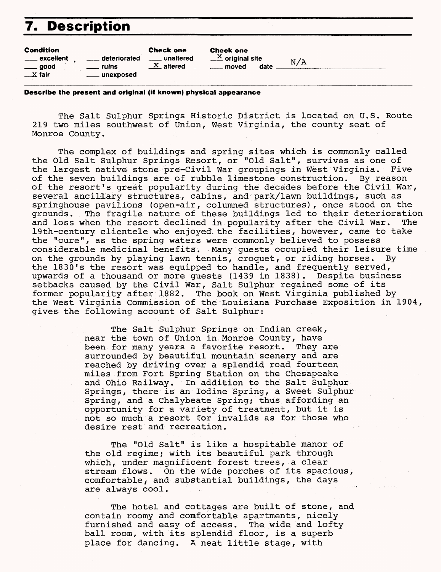## **7. Description**

**Describe the present and original (if known) physical appearance**

The Salt Sulphur Springs Historic District is located on U.S. Route 219 two miles southwest of Union, West Virginia, the county seat of Monroe County.

The complex of buildings and spring sites which is commonly called the Old Salt Sulphur Springs Resort, or "Old Salt", survives as one of the largest native stone pre-Civil War groupings in West Virginia. Five of the seven buildings are of rubble limestone construction. By reason of the resort's great popularity during the decades before the Civil War, several ancillary structures, cabins, and park/lawn buildings, such as springhouse pavilions (open-air, columned structures), once stood on the grounds. The fragile nature of these buildings led to their deterioration and loss when the resort declined in popularity after the Civil War. The 19th-century clientele who enjoyed, the facilities, however, came to take the "cure", as the spring waters were commonly believed to possess considerable medicinal benefits. Many guests occupied their leisure time on the grounds by playing lawn tennis, croquet, or riding horses. By the 1830's the resort was equipped to handle, and frequently served, upwards of a thousand or more guests (1439 in 1838). Despite business setbacks caused by the Civil War, Salt Sulphur regained some of its former popularity after 1882. The book on West Virginia published by the West Virginia Commission of the Louisiana Purchase Exposition in 1904, gives the following account of Salt Sulphur:

> The Salt Sulphur Springs on Indian creek, near the town of Union in Monroe County, have been for many years a favorite resort. They are surrounded by beautiful mountain scenery and are reached by driving over a splendid road fourteen miles from Fort Spring Station on the Chesapeake and Ohio Railway. In addition to the Salt Sulphur Springs, there is an Iodine Spring, a Sweet Sulphur Spring, and a Chalybeate Spring; thus affording an opportunity for a variety of treatment, but it is not so much a resort for invalids as for those who desire rest and recreation.

> The "Old Salt" is like a hospitable manor of the old regime; with its beautiful park through which, under magnificent forest trees, a clear stream flows. On the wide porches of its spacious, comfortable, and substantial buildings, the days are always cool.

> The hotel and cottages are built of stone, and contain roomy and comfortable apartments, nicely furnished and easy of access. The wide and lofty ball room, with its splendid floor, is a superb place for dancing. A neat little stage, with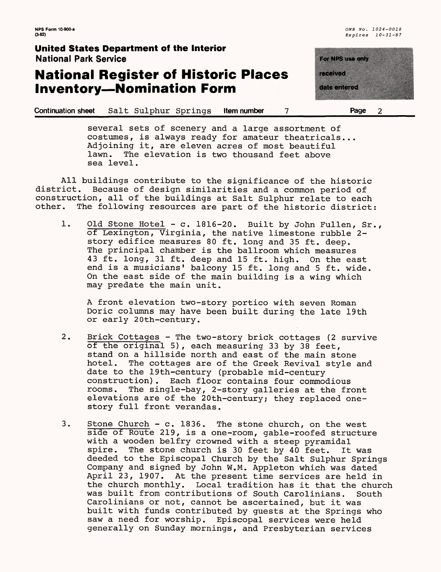## **National Register of Historic Places Inventory-Nomination Form**

<u> Timografi</u> <u>mamatan a</u> in katalog a

**Continuation sheet** Salt Sulphur Springs **Item number 7\_\_\_\_\_\_\_\_\_Page 2**

several sets of scenery and a large assortment of costumes, is always ready for amateur theatricals... Adjoining it, are eleven acres of most beautiful<br>lawn. The elevation is two thousand feet above The elevation is two thousand feet above sea level.

All buildings contribute to the significance of the historic district. Because of design similarities and a common period of construction, all of the buildings at Salt Sulphur relate to each other. The following resources are part of the historic district:

1. Old Stone Hotel - c. 1816-20. Built by John Fullen, Sr., of Lexington, Virginia, the native limestone rubble 2 story edifice measures 80 ft. long and 35 ft. deep. The principal chamber is the ballroom which measures 43 ft. long, 31 ft. deep and 15 ft. high. On the east end is a musicians' balcony 15 ft. long and 5 ft. wide. On the east side of the main building is a wing which may predate the main unit.

A front elevation two-story portico with seven Roman Doric columns may have been built during the late 19th or early 20th-century.

- 2. Brick Cottages The two-story brick cottages (2 survive of the original 5), each measuring 33 by 38 feet, stand on a hillside north and east of the main stone hotel. The cottages are of the Greek Revival style and date to the 19th-century (probable mid-century construction). Each floor contains four commodious rooms. The single-bay, 2-story galleries at the front elevations are of the 20th-century; they replaced onestory full front verandas.
- 3. Stone Church c. 1836. The stone church, on the west side of Route 219, is a one-room, gable-roofed structure with a wooden belfry crowned with a steep pyramidal spire. The stone church is 30 feet by 40 feet. It was deeded to the Episcopal Church by the Salt Sulphur Springs Company and signed by John W.M. Appleton which was dated April 23, 1907. At the present time services are held in the church monthly. Local tradition has it that the church was built from contributions of South Carolinians. South Carolinians or not, cannot be ascertained, but it was built with funds contributed by guests at the Springs who saw a need for worship. Episcopal services were held generally on Sunday mornings, and Presbyterian services

**NPS Form 10-900-a**  $0.4900 \text{ a}$   $0.4900 \text{ a}$   $0.490 \text{ a}$   $0.490 \text{ a}$   $0.490 \text{ a}$   $0.490 \text{ a}$   $0.490 \text{ a}$   $0.490 \text{ a}$   $0.490 \text{ a}$   $0.490 \text{ a}$   $0.490 \text{ a}$   $0.490 \text{ a}$   $0.490 \text{ a}$   $0.490 \text{ a}$   $0.490 \text{ a}$   $0.49$ **(3-82)** Expires 10-31-87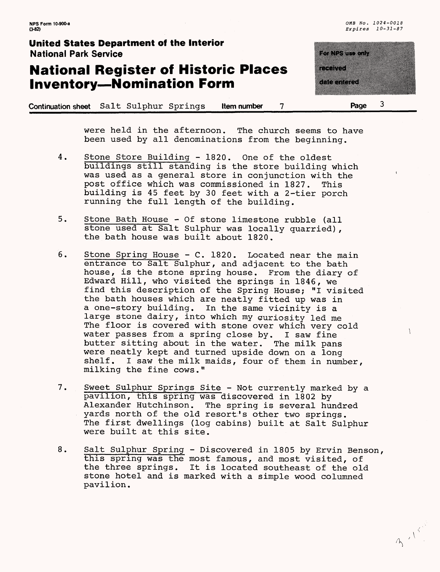## **National Register of Historic Places Inventory—Nomination Form**

zette eta estable

**(3-82)** *Expires 10-31-87*

883 - 1910

**Continuation sheet** Salt Sulphur Springs **Item number 7\_\_\_\_ Page 3**

were held in the afternoon. The church seems to have been used by all denominations from the beginning.

- 4. Stone Store Building 1820. One of the oldest buildings still standing is the store building which was used as a general store in conjunction with the post office which was commissioned in 1827. This building is 45 feet by 30 feet with a 2-tier porch running the full length of the building.
- 5. Stone Bath House Of stone limestone rubble (all stone used at Salt Sulphur was locally quarried), the bath house was built about 1820.
- 6. Stone Spring House C. 1820. Located near the main entrance to Salt Sulphur, and adjacent to the bath house, is the stone spring house. From the diary of Edward Hill, who visited the springs in 1846, we find this description of the Spring House; "I visited the bath houses which are neatly fitted up was in a one-story building. In the same vicinity is a large stone dairy, into which my curiosity led me The floor is covered with stone over which very cold water passes from a spring close by. I saw fine butter sitting about in the water. The milk pans were neatly kept and turned upside down on a long shelf. I saw the milk maids, four of them in number, milking the fine cows."
- 7. Sweet Sulphur Springs Site Not currently marked by a pavilion, this spring was discovered in 1802 by Alexander Hutchinson. The spring is several hundred vards north of the old resort's other two springs. The first dwellings (log cabins) built at Salt Sulphur were built at this site.
- 8. Salt Sulphur Spring Discovered in 1805 by Ervin Benson, this spring was the most famous, and most visited, of the three springs. It is located southeast of the old stone hotel and is marked with a simple wood columned pavilion.

3 - 150°

 $\lambda$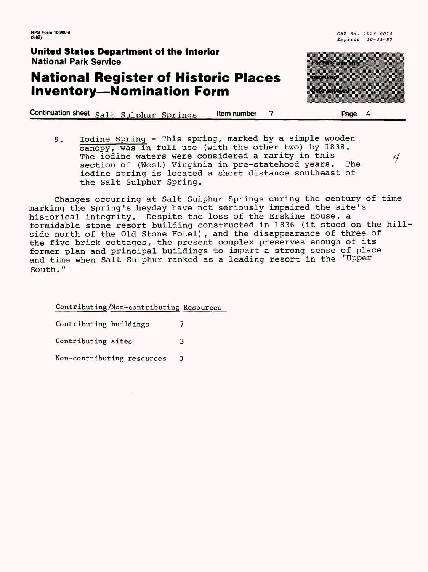**NFS Form 10-900-a** *OMB No* , *1024-0018* 

**United States Department of the Interior** National Park Service

#### **National Register of Historic Places Inventory—Nomination Form**

**Continuation sheet**  $\text{salt}$  Sulphur Springs **Item number 7 Page 4** 

9. Iodine Spring - This spring, marked by a simple wooden canopy, was in full use (with the other two) by 1838. The iodine waters were considered a rarity in this  $\gamma$ <br>section of (West) Virginia in pre-statehood vears. The section of (West) Virginia in pre-statehood years. iodine spring is located a short distance southeast of the Salt Sulphur Spring.

Changes occurring at Salt Sulphur Springs during the century of time marking the Spring's heyday have not seriously impaired the site's historical integrity. Despite the loss of the Erskine House, a formidable stone resort building constructed in 1836 (it stood on the hillside north of the Old Stone Hotel), and the disappearance of three of the five brick cottages, the present complex preserves enough of its former plan and principal buildings to impart a strong sense of place and time when Salt Sulphur ranked as a leading resort in the "Upper South."

Contributing/Non-contributing Resources

Contributing buildings 7 Contributing sites 3 Non-contributing resources 0

<u>ta da basa</u> pertama pertama di pertama di pertama di pertama di pertama di pertama di pertama di pertama di pertama di per<br>Pertama di pertama di pertama di pertama di pertama di pertama di pertama di pertama di pertama di pertama di

a matang

**(3'82)** Expires *10-31-87*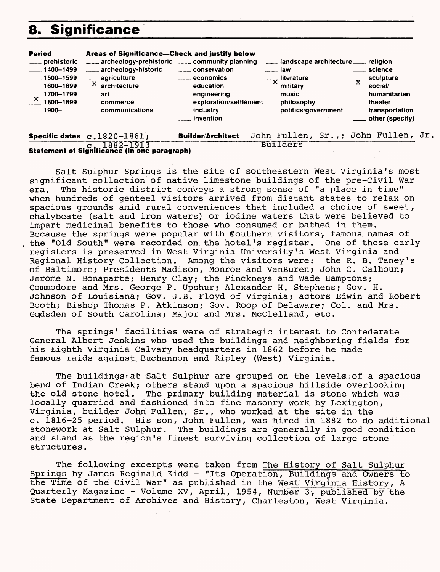## **8. Significance**

| <b>Period</b><br>$-1500 - 1599$<br>$1600 - 1699$<br>$\frac{X}{X}$ 1700-1799<br>$\sim$ 1900- | Areas of Significance—Check and justify below<br>___ prehistoric ___ archeology-prehistoric __ community planning<br>___ 1400-1499 ___ archeology-historic __ conservation<br><sub>___</sub> __ agriculture<br>$\frac{X}{1}$ architecture<br><u>_____</u> art<br>commerce<br>communications | $\overline{\phantom{a} \phantom{a}}$ economics<br>___ education<br>____ engineering<br>exploration/settlement ____ philosophy<br><u>__</u> __ invention | landscape architecture ____ religion<br>____ law<br>$-\mathbf{x}$ literature<br><u>_____</u> ^ military<br>$\sim$ music<br>politics/government _____ transportation | <u>__</u> __ science<br>$\frac{X}{X}$ sculpture<br>humanitarian<br><u>__</u> theater<br><b>Example 2.1 Contract Contract Contract Contract Contract Contract Contract Contract Contract Contract Contract</b> |
|---------------------------------------------------------------------------------------------|---------------------------------------------------------------------------------------------------------------------------------------------------------------------------------------------------------------------------------------------------------------------------------------------|---------------------------------------------------------------------------------------------------------------------------------------------------------|---------------------------------------------------------------------------------------------------------------------------------------------------------------------|---------------------------------------------------------------------------------------------------------------------------------------------------------------------------------------------------------------|
|                                                                                             | Specific dates $c.1820 - 1861$ ;<br>$7 - 1882 - 1913$                                                                                                                                                                                                                                       | <b>Builder/Architect</b>                                                                                                                                | John Fullen, Sr.,; John Fullen, Jr<br><b>Builders</b>                                                                                                               |                                                                                                                                                                                                               |

**Statement of Significance (in one paragraph)** 

Salt Sulphur Springs is the site of southeastern West Virginia's most significant collection of native .limestone buildings of the pre-Civil War era. The historic district conveys a strong sense of "a place in time" when hundreds of genteel visitors arrived from distant states to relax on spacious grounds amid rural conveniences that included a choice of sweet, chalybeate (salt and iron waters) or iodine waters that were believed to impart medicinal benefits to those who consumed or bathed in them. Because the springs were popular with Southern visitors, famous names of the "Old South" were recorded on the hotel's register. One of these early registers is preserved in West Virginia University's West Virginia and Regional History Collection. Among the visitors were: the R. B. Taney's of Baltimore; Presidents Madison, Monroe and VanBuren; John C. Calhoun; Jerome N. Bonaparte; Henry Clay; the Pinckneys and Wade Hamptons; Commodore and Mrs. George P. Upshur; Alexander H. Stephens; Gov. H. Johnson of Louisiana; Gov. J.B. Floyd of Virginia; actors Edwin and Robert Booth; Bishop Thomas P. Atkinson; Gov. Roop of Delaware; Col. and Mrs. Gqdsden of South Carolina; Major and Mrs. McClelland, etc.

The springs' facilities were of strategic interest to Confederate General Albert Jenkins who used the buildings and neighboring fields for his Eighth Virginia Calvary headquarters in 1862 before he made famous raids against Buchannon and'Ripley (West) Virginia.

The buildingsrat Salt Sulphur are grouped on the levels;of a spacious bend of Indian Creek; others stand upon a spacious hillside overlooking the old stone hotel. The primary building material is stone which was locally quarried and fashioned into fine masonry work by Lexington, Virginia, builder John Fullen, Sr., who worked at the site in the c. 1816-25 period. His son, John Fullen, was hired in 1882 to do additional stonework at Salt Sulphur. The buildings are generally in good condition and stand as the region's finest surviving collection of large stone structures.

The following excerpts were taken from The History of Salt Sulphur Springs by James Reginald Kidd - "Its Operation, Buildings and Owners to the Time of the Civil War" as published in the West Virginia History, A Quarterly Magazine - Volume XV, April, 1954, Number 3, published by the State Department of Archives and History, Charleston, West Virginia.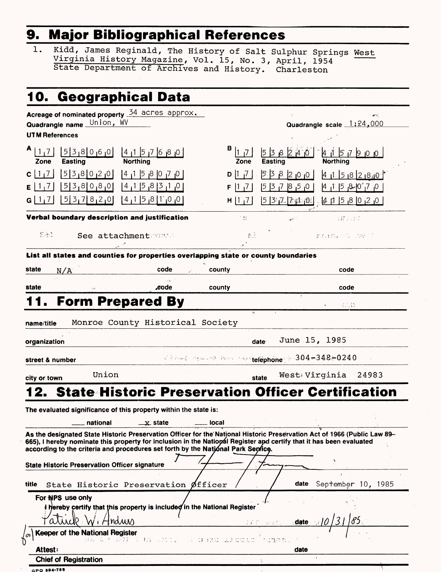# **9. Major Bibliographical References\_\_\_\_\_\_\_\_\_**

1. Kidd, James Reginald, The History of Salt Sulphur Springs West Virginia History Magazine, Vol. 15, No. 3, April, 1954 State Department of Archives and History. Charleston

| 10. Geographical Data                                                                                                                                                                                                                                                                                                                                                                                                                                                                             |                                                                                                    |
|---------------------------------------------------------------------------------------------------------------------------------------------------------------------------------------------------------------------------------------------------------------------------------------------------------------------------------------------------------------------------------------------------------------------------------------------------------------------------------------------------|----------------------------------------------------------------------------------------------------|
| Acreage of nominated property 34 acres approx.<br>Quadrangle name Union, WV<br><b>UTM References</b>                                                                                                                                                                                                                                                                                                                                                                                              | øÑ,<br>Quadrangle scale 1:24,000                                                                   |
| A<br>538060<br> 1,7 <br>$14$ $15$ $76$ $8$ $0$                                                                                                                                                                                                                                                                                                                                                                                                                                                    | $B$  1 $\overline{1}$<br>538240<br>$4$ 15 7 9 0 0 1                                                |
| <b>Northing</b><br><b>Easting</b><br>Zone<br>538020<br> 4 1 5 8 070<br>$\vert$ 1<br>C                                                                                                                                                                                                                                                                                                                                                                                                             | <b>Northing</b><br>Zone<br>Easting<br>538200<br> 7 <br>D 11                                        |
| 538080<br> 0 <sub> </sub> 1 <sub> </sub> 3 8 <sub> </sub> 5 1 4 <br>Е                                                                                                                                                                                                                                                                                                                                                                                                                             | 4158280<br>0, 5, 8, 7, 8<br>0, 7,`0¦-&, 5  1 <sub>ו</sub> 4<br>$\vert 1 \vert$<br>F.               |
| 537820<br> 0 <sub> </sub> 0 1 8 <sub> </sub> 5 1 <sub> </sub> 4                                                                                                                                                                                                                                                                                                                                                                                                                                   | $537.77201 + 4758020$<br>H[1,7]                                                                    |
| Verbal boundary description and justification                                                                                                                                                                                                                                                                                                                                                                                                                                                     | - 22<br>337 F SN                                                                                   |
| 오포리<br>See attachmentstras                                                                                                                                                                                                                                                                                                                                                                                                                                                                        | 意言<br>おもぼしてしており                                                                                    |
| List all states and counties for properties overlapping state or county boundaries                                                                                                                                                                                                                                                                                                                                                                                                                |                                                                                                    |
| state<br>code<br>N/A                                                                                                                                                                                                                                                                                                                                                                                                                                                                              | county<br>code                                                                                     |
| eode.<br>state                                                                                                                                                                                                                                                                                                                                                                                                                                                                                    | county<br>code                                                                                     |
| <b>Form Prepared By</b>                                                                                                                                                                                                                                                                                                                                                                                                                                                                           | はこむ                                                                                                |
| organization<br>street & number                                                                                                                                                                                                                                                                                                                                                                                                                                                                   | June 15, 1985<br>date<br>$\sim$ 2 and a special field that the telephone $\approx$ 304 –348 – 0240 |
| Union<br>city or town                                                                                                                                                                                                                                                                                                                                                                                                                                                                             | West Virginia 24983<br>state                                                                       |
| 2. State Historic Preservation Officer Certification<br>The evaluated significance of this property within the state is:<br>national<br>$\mathbf{x}$ state<br>As the designated State Historic Preservation Officer for the National Historic Preservation Act of 1966 (Public Law 89-<br>665), I hereby nominate this property for inclusion in the National Register and certify that it has been evaluated<br>according to the criteria and procedures set forth by the National Park Sentice. | local                                                                                              |
| <b>State Historic Preservation Officer signature</b>                                                                                                                                                                                                                                                                                                                                                                                                                                              |                                                                                                    |
| State Historic Preservation Øfficer<br>title                                                                                                                                                                                                                                                                                                                                                                                                                                                      | date<br>September 10, 1985                                                                         |
| For NPS use only<br>I hereby certify that this property is included in the National Register<br><i>i</i> Hndwas<br>arwa                                                                                                                                                                                                                                                                                                                                                                           | <b>DEC.</b> VERTICE Edate in                                                                       |
| <b>Keeper of the National Register</b><br>pa a kuōn cum shi su na binn s                                                                                                                                                                                                                                                                                                                                                                                                                          | ticao hu                                                                                           |
| <b>Attest:</b>                                                                                                                                                                                                                                                                                                                                                                                                                                                                                    | date                                                                                               |
| <b>Chief of Registration</b>                                                                                                                                                                                                                                                                                                                                                                                                                                                                      |                                                                                                    |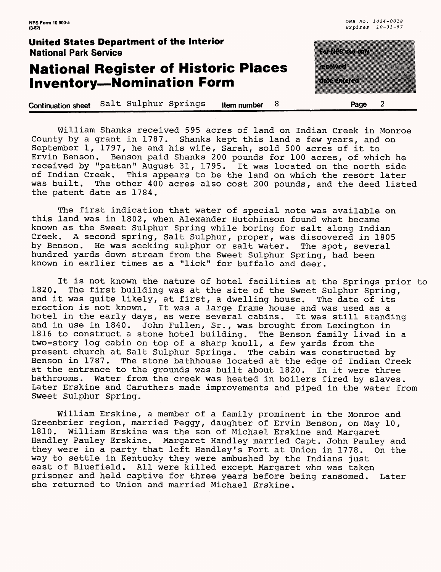#### **National Register of Historic Places Inventory—Nomination Form**

**Continuation sheet** Salt Sulphur Springs **item number 8\_\_\_\_\_\_\_\_\_\_\_Page 2\_\_\_\_\_**

E KRISTO <u>mana</u> 

William Shanks received 595 acres of land on Indian Creek in Monroe County by a grant in 1787. Shanks kept this land a few years, and on September 1, 1797, he and his wife, Sarah, sold 500 acres of it to Ervin Benson. Benson paid Shanks 200 pounds for 100 acres, of which he received by "pattan" August 31, 1795. It was located on the north side of Indian Creek. This appears to be the land on which the resort later was built. The other 400 acres also cost 200 pounds, and the deed listed the patent date as 1784.

The first indication that water of special note was available on this land was in 1802, when Alexander Hutchinson found what became known as the Sweet Sulphur Spring while boring for salt along Indian Creek. A second spring, Salt Sulphur, proper, was discovered in 1805 by Benson. He was seeking sulphur or salt water. The spot, several hundred yards down stream from the Sweet Sulphur Spring, had been known in earlier times as a "lick" for buffalo and deer.

It is not known the nature of hotel facilities at the Springs prior to<br>1820. The first building was at the site of the Sweet Sulphur Spring. The first building was at the site of the Sweet Sulphur Spring, and it was quite likely, at first, a dwelling house. The date of its erection is not known. It was a large frame house and was used as a hotel in the early days, as were several cabins. It was still standing and in use in 1840. John Fullen, Sr., was brought from Lexington in 1816 to construct a stone hotel building. The Benson family lived in a two-story log cabin on top of a sharp knoll, a few yards from the present church at Salt Sulphur Springs. The cabin was constructed by Benson in 1787. The stone bathhouse located at the edge of Indian Creek at the entrance to the grounds was built about 1820. In it were three bathrooms. Water from the creek was heated in boilers fired by slaves. Later Erskine and Caruthers made improvements and piped in the water from Sweet Sulphur Spring.

William Erskine, a member of a family prominent in the Monroe and Greenbrier region, married Peggy, daughter of Ervin Benson, on May 10, 1810. William Erskine was the son of Michael Erskine and Margaret Handley Pauley Erskine. Margaret Handley married Capt. John Pauley and they were in a party that left Handley's Fort at Union in 1778. On the way to settle in Kentucky they were ambushed by the Indians just east of Bluefield. All were killed except Margaret who was taken prisoner and held captive for three years before being ransomed. Later she returned to Union and married Michael Erskine.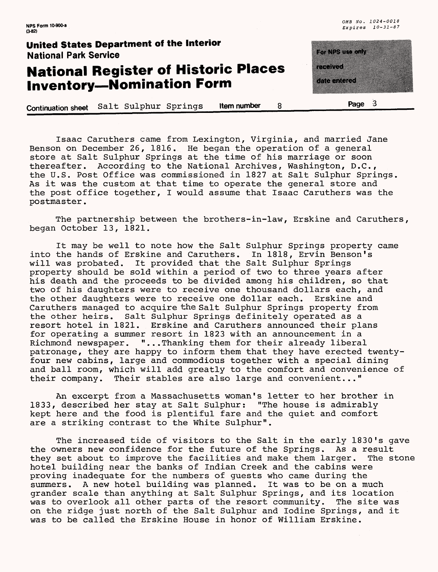$\overline{3}$ 

#### **United States Department of the Interior** National Park Service

## **National Register of Historic Places Inventory—Nomination Form**

**Continuation sheet** Salt Sulphur Springs **Item number 8\_\_\_\_\_\_\_\_\_\_\_\*\*&\***

iya taraftan da a a shekara a a shekara

Isaac Caruthers came from Lexington, Virginia, and married Jane Benson on December 26, 1816. He began the operation of a general store at Salt Sulphur Springs at the time of his marriage or soon thereafter. According to the National Archives, Washington, D.C., the U.S. Post Office was commissioned in 1827 at Salt Sulphur Springs. As it was the custom at that time to operate the general store and the post office together, I would assume that Isaac Caruthers was the postmaster.

The partnership between the brothers-in-law, Erskine and Caruthers, began October 13, 1821.

It may be well to note how the Salt Sulphur Springs property came into the hands of Erskine and Caruthers. In 1818, Ervin Benson's will was probated. It provided that the Salt Sulphur Springs It provided that the Salt Sulphur Springs property should be sold within a period of two to three years after his death and the proceeds to be divided among his children, so that two of his daughters were to receive one thousand dollars each, and<br>the other daughters were to receive one dollar each. Erskine and the other daughters were to receive one dollar each. Caruthers managed to acquire the Salt Sulphur Springs property from the other heirs. Salt Sulphur Springs definitely operated as a resort hotel in 1821. Erskine and Caruthers announced their plans for operating a summer resort in 1823 with an announcement in a Richmond newspaper. "...Thanking them for their already liberal patronage, they are happy to inform them that they have erected twentyfour new cabins, large and commodious together with a special dining and ball room, which will add greatly to the comfort and convenience of their company. Their stables are also large and convenient..."

An excerpt from a Massachusetts woman's letter to her brother in 1833, described her stay at Salt Sulphur: "The house is admirably kept here and the food is plentiful fare and the quiet and comfort are a striking contrast to the White Sulphur".

The increased tide of visitors to the Salt in the early 1830's gave the owners new confidence for the future of the Springs. As a result they set about to improve the facilities and make them larger. The stone hotel building near the banks of Indian Creek and the cabins were proving inadequate for the numbers of guests who came during the summers. A new hotel building was planned. It was to be on a much summers. A new hotel building was planned. grander scale than anything at Salt Sulphur Springs, and its location was to overlook all other parts of the resort community. The site was on the ridge just north of the Salt Sulphur and Iodine Springs, and it was to be called the Erskine House in honor of William Erskine.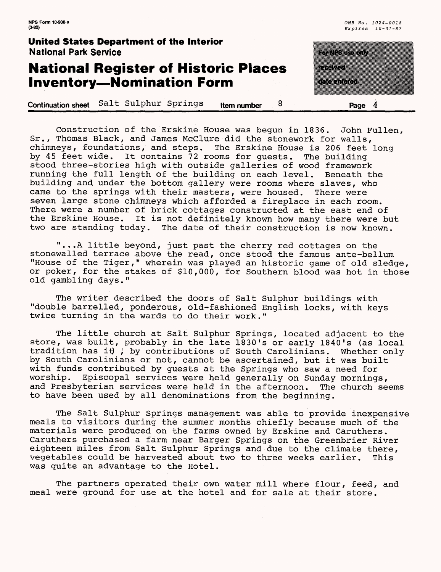| <b>NPS Form 10-900-a</b><br>$(3-82)$                                            |                  |                    | OMB No. 1024-0018<br>Expires $10-31-87$ |
|---------------------------------------------------------------------------------|------------------|--------------------|-----------------------------------------|
| <b>United States Department of the Interior</b><br><b>National Park Service</b> |                  | a kata wa Tanzania |                                         |
| <b>National Register of Historic Places</b>                                     |                  | etti t             |                                         |
| <b>Inventory-Nomination Form</b>                                                |                  | komunika           |                                         |
| Salt Sulphur Springs<br><b>Continuation sheet</b>                               | 8<br>Item number | Page               |                                         |

Construction of the Erskine House was begun in 1836. John Fullen, Sr., Thomas Black, and James McClure did the stonework for walls, chimneys, foundations, and steps. The Erskine House is 206 feet long by 45 feet wide. It contains 72 rooms for guests. The building stood three-stories high with outside galleries of wood framework running the full length of the building on each level. Beneath the building and under the bottom gallery were rooms where slaves, who came to the springs with their masters, were housed. There were seven large stone chimneys which afforded a fireplace in each room. There were a number of brick cottages constructed at the east end of the Erskine House. It is not definitely known how many there were but two are standing today. The date of their construction is now known.

"...A little beyond, just past the cherry red cottages on the stonewalled terrace above the read, once stood the famous ante-bellum "House of the Tiger," wherein was played an historic game of old sledge, or poker, for the stakes of \$10,000, for Southern blood was hot in those old gambling days."

The writer described the doors of Salt Sulphur buildings with "double barrelled, ponderous, old-fashioned English locks, with keys twice turning in the wards to do their work."

The little church at Salt Sulphur Springs, located adjacent to the store, was built, probably in the late 1830's or early 1840's (as local tradition has it ; by contributions of South Carolinians. Whether only by South Carolinians or not, cannot be ascertained, but it was built with funds contributed by guests at the Springs who saw a need for worship. Episcopal services were held generally on Sunday mornings, and Presbyterian services were held in the afternoon. The church seems to have been used by all denominations from the beginning.

The Salt Sulphur Springs management was able to provide inexpensive meals to visitors during the summer months chiefly because much of the materials were produced on the farms owned by Erskine and Caruthers. Caruthers purchased a farm near Barger Springs on the Greenbrier River eighteen miles from Salt Sulphur Springs and due to the climate there, vegetables could be harvested about two to three weeks earlier. This was quite an advantage to the Hotel.

The partners operated their own water mill where flour, feed, and meal were ground for use at the hotel and for sale at their store.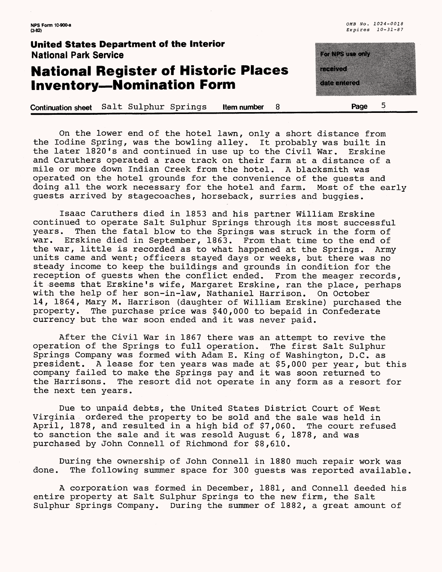## **National Register of Historic Places Inventory—Nomination Form**

**Continuation sheet** Salt Sulphur Springs **Item number 8\_\_\_\_\_\_\_\_\_\_\_Page 5**

te a control de la **MANAGERIA DE LA PROPERTA** 

On the lower end of the hotel lawn, only a short distance from the Iodine Spring, was the bowling alley. It probably was built in the later 1820's and continued in use up to the Civil War. Erskine and Caruthers operated a race track on their farm at a distance of a mile or more down Indian Creek from the hotel. A blacksmith was mile or more down Indian Creek from the hotel. operated on the hotel grounds for the convenience of the guests and doing all the work necessary for the hotel and farm. Most of the early guests arrived by stagecoaches, horseback, surries and buggies.

Isaac Caruthers died in 1853 and his partner William Erskine continued to operate Salt Sulphur Springs through its most successful years. Then the fatal blow to the Springs was struck in the form of<br>war. Erskine died in September, 1863. From that time to the end of Erskine died in September, 1863. From that time to the end of the war, little is recorded as to what happened at the Springs. Army units came and went; officers stayed days or weeks, but there was no steady income to keep the buildings and grounds in condition for the reception of guests when the conflict ended. From the meager records, it seems that Erskine's wife, Margaret Erskine, ran the place, perhaps with the help of her son-in-law, Nathaniel Harrison. On October 14, 1864, Mary M. Harrison (daughter of William Erskine) purchased the property. The purchase price was \$40,000 to bepaid in Confederate currency but the war soon ended and it was never paid.

After the Civil War in 1867 there was an attempt to revive the operation of the Springs to full operation. The first Salt Sulphur Springs Company was formed with Adam E. King of Washington, D.C. as president. A lease for ten years was made at \$5,000 per year, but this company failed to make the Springs pay and it was soon returned to The resort did not operate in any form as a resort for the next ten years.

Due to unpaid debts, the United States District Court of West Virginia ordered the property to be sold and the sale was held in April, 1878, and resulted in a high bid of \$7,060. The court refused to sanction the sale and it was resold August 6, 1878, and was purchased by John Connell of Richmond for \$8,610.

During the ownership of John Connell in 1880 much repair work was done. The following summer space for 300 quests was reported available The following summer space for 300 quests was reported available.

A corporation was formed in December, 1881, and Connell deeded his entire property at Salt Sulphur Springs to the new firm, the Salt Sulphur Springs Company. During the summer of 1882, a great amount of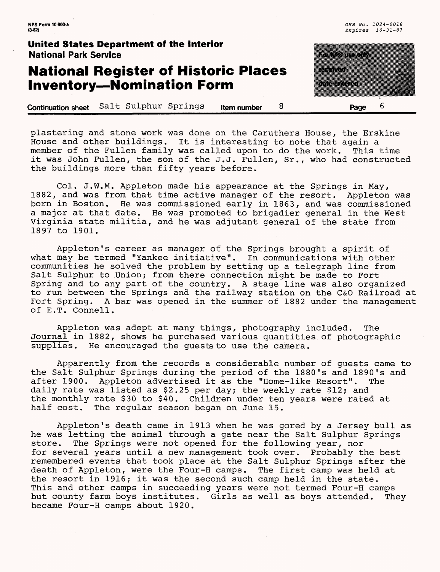**NPS Form 10-900-a (3-82)**

**United States Department of the Interior** National Park Service

## **National Register of Historic Places Inventory—Nomination Form**

E TA SANTA TA 1991 a a shekara 6

**Continuation sheet** Salt Sulphur Springs **Item number 8 Page**

plastering and stone work was done on the Caruthers House, the Erskine House and other buildings. It is interesting to note that again a member of the Fullen family was called upon to do the work. This time it was John Fullen, the son of the J.J. Fullen, Sr., who had constructed the buildings more than fifty years before.

Col. J.W.M. Appleton made his appearance at the Springs in May, 1882, and was from that time active manager of the resort. Appleton was born in Boston. He was commissioned early in 1863, and was commissioned a major at that date. He was promoted to brigadier general in the West Virginia state militia, and he was adjutant general of the state from 1897 to 1901.

Appleton's career as manager of the Springs brought a spirit of what may be termed "Yankee initiative". In communications with other communities he solved the problem by setting up a telegraph line from Salt Sulphur to Union; from there connection might be made to Fort Spring and to any part of the country. A stage line was also organized to run between the Springs and the railway station on the C&O Railroad at Fort Spring. A bar was opened in the summer of 1882 under the management of E.T. Connell.

Appleton was adept at many things, photography included. The Journal in 1882, shows he purchased various quantities of photographic supplies. He encouraged the guests to use the camera.

Apparently from the records a considerable number of guests came to the Salt Sulphur Springs during the period of the 1880's and 1890's and after 1900. Appleton advertised it as the "Home-like Resort". The daily rate was listed as \$2.25 per day; the weekly rate \$12; and the monthly rate \$30 to \$40. Children under ten years were rated at half cost. The reqular season began on June 15. The regular season began on June 15.

Appleton's death came in 1913 when he was gored by a Jersey bull as he was letting the animal through a gate near the Salt Sulphur Springs store. The Springs were not opened for the following year, nor for several years until a new management took over. Probably the best remembered events that took place at the Salt Sulphur Springs after the<br>death of Appleton, were the Four-H camps. The first camp was held at death of Appleton, were the Four-H camps. the resort in 1916; it was the second such camp held in the state. This and other camps in succeeding years were not termed Four-H camps but county farm boys institutes. Girls as well as boys attended. They became Four-H camps about 1920.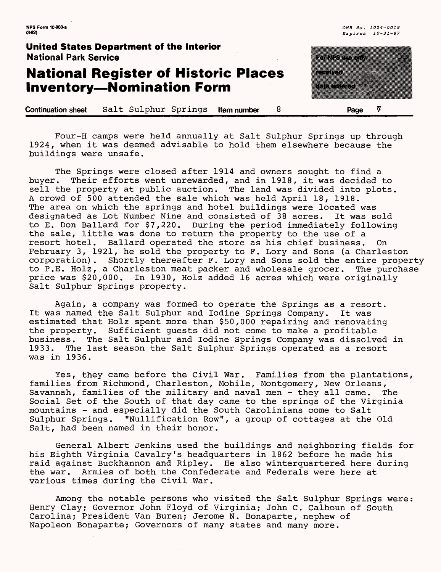## **National Register of Historic Places Inventory—Nomination Form**

<u>matang pang</u> a a shekara a a shekara

**Continuation sheet** Salt Sulphur Springs **Item number** 8 **Page 7** 

Four-H camps were held annually at Salt Sulphur Springs up through 1924, when it was deemed advisable to hold them elsewhere because the buildings were unsafe.

The Springs were closed after 1914 and owners sought to find a buyer. Their efforts went unrewarded, and in 1918, it was decided to sell the property at public auction. The land was divided into plots. A crowd of 500 attended the sale which was held April 18, 1918. The area on which the springs and hotel buildings were located was designated as Lot Number Nine and consisted of 38 acres. It was sold to E. Don Ballard for \$7,220. During the period immediately following the sale, little was done to return the property to the use of a resort hotel. Ballard operated the store as his chief business. On February 3, 1921, he sold the property to F. Lory and Sons (a Charleston corporation). Shortly thereafter F. Lory and Sons sold the entire property to P.E. Holz, a Charleston meat packer and wholesale grocer. The purchase price was \$20,000. In 1930, Holz added 16 acres which were originally Salt Sulphur Springs property.

Again, a company was formed to operate the Springs as a resort. It was named the Salt Sulphur and Iodine Springs Company. It was estimated that Holz spent more than \$50,000 repairing and renovating the property. Sufficient guests did not come to make a profitable business. The Salt Sulphur and Iodine Springs Company was dissolved in 1933. The last season the Salt Sulphur Springs operated as a resort The last season the Salt Sulphur Springs operated as a resort was in 1936.

Yes, they came before the Civil War. Families from the plantations, families from Richmond, Charleston, Mobile, Montgomery, New Orleans, Savannah, families of the military and naval men - they all came. The Social Set of the South of that day came to the springs of the Virginia mountains - and especially did the South Carolinians come to Salt<br>Sulphur Springs. "Nullification Row", a group of cottages at the "Nullification Row", a group of cottages at the Old Salt, had been named in their honor.

General Albert Jenkins used the buildings and neighboring fields for his Eighth Virginia Cavalry's headquarters in 1862 before he made his raid against Buckhannon and Ripley. He also winterquartered here during the war. Armies of both the Confederate and Federals were here at various times during the Civil War.

Among the notable persons who visited the Salt Sulphur Springs were: Henry Clay; Governor John Floyd of Virginia; John C. Calhoun of South Carolina; President Van Buren; Jerome N. Bonaparte, nephew of Napoleon Bonaparte; Governors of many states and many more.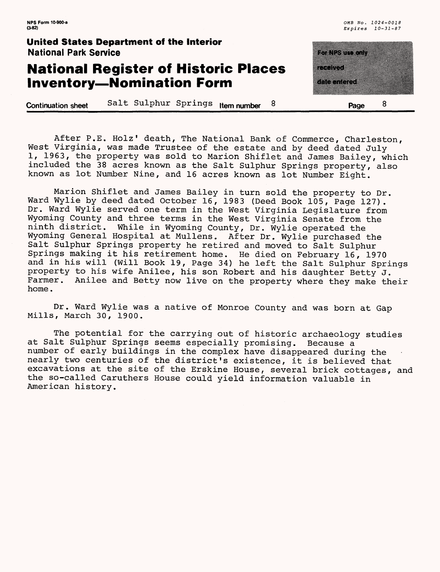#### **National Register of Historic Places Inventory—Nomination Form**

| ung tinggi |                     |  |
|------------|---------------------|--|
|            |                     |  |
| r Biografi |                     |  |
|            |                     |  |
|            | <u>e de la comp</u> |  |
|            |                     |  |
|            |                     |  |

**Continuation sheet** Salt Sulphur Springs **item number 8 Page**

After P.E. Holz' death, The National Bank of Commerce, Charleston, West Virginia, was made Trustee of the estate and by deed dated July 1, 1963, the property was sold to Marion Shiflet and James Bailey, which included the 38 acres known as the Salt Sulphur Springs property, also known as lot Number Nine, and 16 acres known as lot Number Eight.

Marion Shiflet and James Bailey in turn sold the property to Dr. Ward Wylie by deed dated October 16, 1983 (Deed Book 105, Page 127). Dr. Ward Wylie served one term in the West Virginia Legislature from Wyoming County and three terms in the West Virginia Senate from the ninth district. While in Wyoming County, Dr. Wylie operated the Wyoming General Hospital at Mullens. After Dr. Wylie purchased the Salt Sulphur Springs property he retired and moved to Salt Sulphur Springs making it his retirement home. He died on February 16, 1970 and in his will (Will Book 19, Page 34) he left the Salt Sulphur Springs property to his wife Anilee, his son Robert and his daughter Betty J. Farmer. Anilee and Betty now live on the property where they make their home.

Dr. Ward Wylie was a native of Monroe County and was born at Gap Mills, March 30, 1900.

The potential for the carrying out of historic archaeology studies at Salt Sulphur Springs seems especially promising. Because a number of early buildings in the complex have disappeared during the nearly two centuries of the district's existence, it is believed that excavations at the site of the Erskine House, several brick cottages, and the so-called Caruthers House could yield information valuable in American history.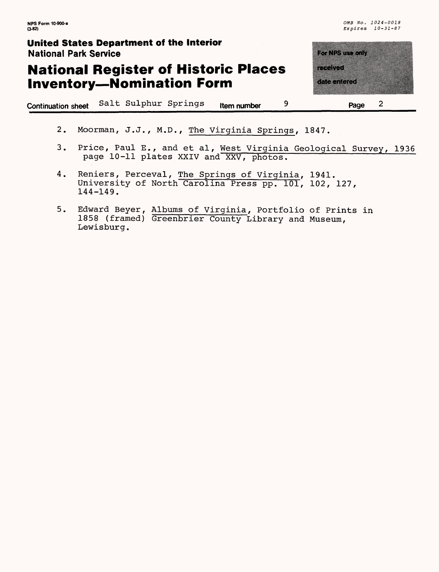## **National Register of Historic Places Inventory—Nomination Form**

**Continuation sheet** Salt Sulphur Springs **rtem number 9**

|           | <u>ka ka</u> |   |  |
|-----------|--------------|---|--|
| ministra  |              |   |  |
|           |              |   |  |
| an minggu |              |   |  |
|           |              |   |  |
|           | Page         | 2 |  |

- 2. Moorman, J.J., M.D., The Virginia Springs, 1847.
- 3. Price, Paul E., and et al, West Virginia Geological Survey, 1936 page 10-11 plates XXIV and XXV, photos.
- 4. Reniers, Perceval, The Springs of Virginia, 1941. University of North Carolina Press pp. 101, 102, 127, 144-149.
- 5. Edward Beyer, Albums of Virginia, Portfolio of Prints in 1858 (framed) Greenbrier County Library and Museum, Lewisburg.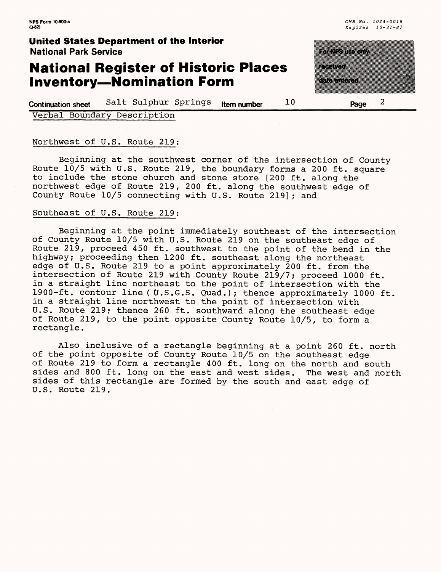#### **National Register of Historic Places Inventory—Nomination Form**

a kacamatan a kacamatan ing Kabupatèn Kabupatèn Jawa Bandaré a mata

**Continuation sheet** Salt Sulphur Springs **item number** 10 **Page** 2

Verbal Boundary Description

#### Northwest of U.S. Route 219:

Beginning at the southwest corner of the intersection of County Route 10/5 with U.S. Route 219, the boundary forms a 200 ft. square to include the stone church and stone store [200 ft. along the northwest edge of Route 219, 200 ft. along the southwest edge of County Route 10/5 connecting with U.S. Route 219]; and

#### Southeast of U.S. Route 219;

Beginning at the point immediately southeast of the intersection of County Route 10/5 with U.S. Route 219 on the southeast edge of Route 219, proceed 450 ft. southwest to the point of the bend in the highway; proceeding then 1200 ft. southeast along the northeast edge of U.S. Route 219 to a point approximately 200 ft. from the intersection of Route 219 with County Route 219/7; proceed 1000 ft. in a straight line northeast to the point of intersection with the 1900-ft. contour line ( U.S.G.S. Quad.); thence approximately 1000 ft. in a straight line northwest to the point of intersection with U.S. Route 219; thence 260 ft. southward along the southeast edge of Route 219, to the point opposite County Route 10/5, to form a rectangle.

Also inclusive of a rectangle beginning at a point 260 ft. north of the point opposite of County Route 10/5 on the southeast edge of Route 219 to form a rectangle 400 ft. long on the north and south sides and 800 ft. long on the east and west sides. The west and north sides of this rectangle are formed by the south and east edge of U.S. Route 219.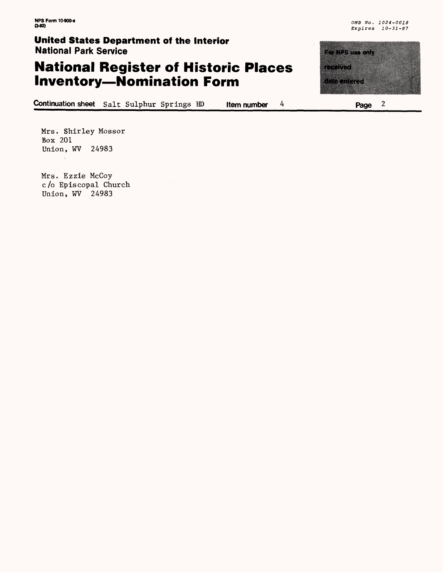## **National Register of Historic Places Inventory—Nomination Form**

**Continuation sheet** Salt Sulphur Springs HD **Item number 4**

<u> De Carrier de Carrier de Carrier de Carrier de Carrier de Carrier de la com</u> e e de <u> Manazarta</u>

**Page 2**

Mrs. Shirley Mossor Box 201 Union, WV 24983

Mrs. Ezzie McCoy c/o Episcopal Church Union, WV 24983